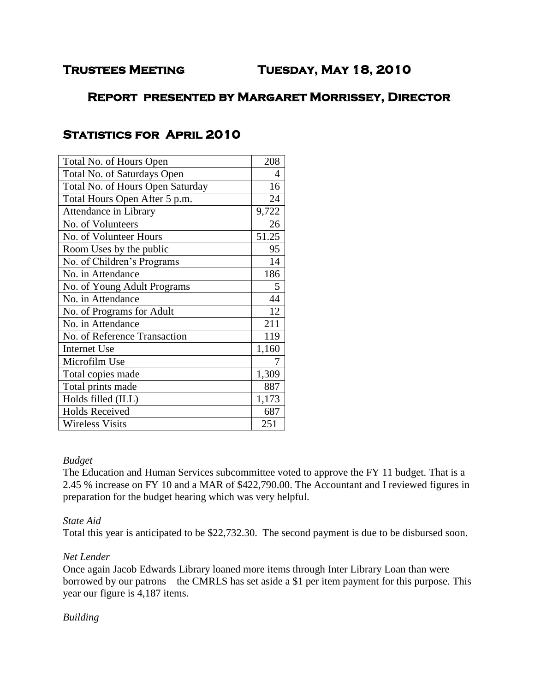# **Report presented by Margaret Morrissey, Director**

# Total No. of Hours Open 208 Total No. of Saturdays Open 14 Total No. of Hours Open Saturday 16 Total Hours Open After 5 p.m. 24 Attendance in Library 9,722 No. of Volunteers 26 No. of Volunteer Hours 51.25 Room Uses by the public 195 No. of Children's Programs 14 No. in Attendance 186 No. of Young Adult Programs 5 No. in Attendance 144 No. of Programs for Adult 12 No. in Attendance 211 No. of Reference Transaction 119 Internet Use 1,160 Microfilm Use 7 Total copies made 1,309 Total prints made 887 Holds filled (ILL)  $1,173$ Holds Received 687 Wireless Visits 251

# **Statistics for April 2010**

#### *Budget*

The Education and Human Services subcommittee voted to approve the FY 11 budget. That is a 2.45 % increase on FY 10 and a MAR of \$422,790.00. The Accountant and I reviewed figures in preparation for the budget hearing which was very helpful.

## *State Aid*

Total this year is anticipated to be \$22,732.30. The second payment is due to be disbursed soon.

## *Net Lender*

Once again Jacob Edwards Library loaned more items through Inter Library Loan than were borrowed by our patrons – the CMRLS has set aside a \$1 per item payment for this purpose. This year our figure is 4,187 items.

# *Building*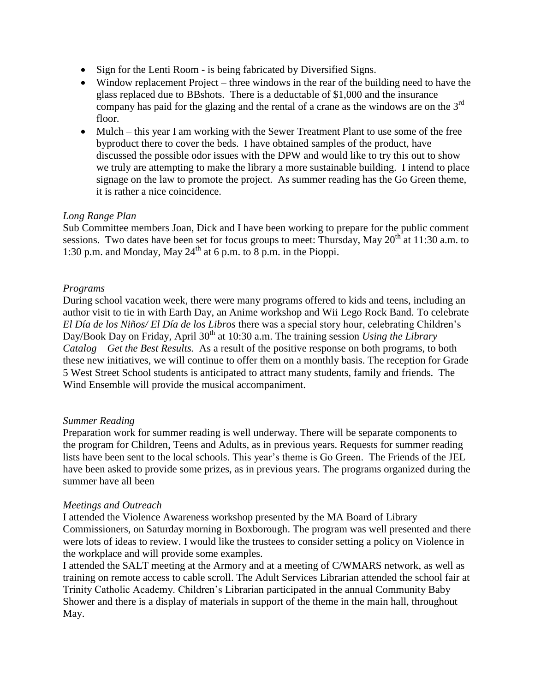- Sign for the Lenti Room is being fabricated by Diversified Signs.
- Window replacement Project three windows in the rear of the building need to have the glass replaced due to BBshots. There is a deductable of \$1,000 and the insurance company has paid for the glazing and the rental of a crane as the windows are on the  $3<sup>rd</sup>$ floor.
- Mulch this year I am working with the Sewer Treatment Plant to use some of the free byproduct there to cover the beds. I have obtained samples of the product, have discussed the possible odor issues with the DPW and would like to try this out to show we truly are attempting to make the library a more sustainable building. I intend to place signage on the law to promote the project. As summer reading has the Go Green theme, it is rather a nice coincidence.

#### *Long Range Plan*

Sub Committee members Joan, Dick and I have been working to prepare for the public comment sessions. Two dates have been set for focus groups to meet: Thursday, May  $20^{th}$  at 11:30 a.m. to 1:30 p.m. and Monday, May  $24<sup>th</sup>$  at 6 p.m. to 8 p.m. in the Pioppi.

#### *Programs*

During school vacation week, there were many programs offered to kids and teens, including an author visit to tie in with Earth Day, an Anime workshop and Wii Lego Rock Band. To celebrate *El Día de los Niños/ El Día de los Libros* there was a special story hour, celebrating Children's Day/Book Day on Friday, April 30th at 10:30 a.m. The training session *Using the Library Catalog – Get the Best Results.* As a result of the positive response on both programs, to both these new initiatives, we will continue to offer them on a monthly basis. The reception for Grade 5 West Street School students is anticipated to attract many students, family and friends. The Wind Ensemble will provide the musical accompaniment.

#### *Summer Reading*

Preparation work for summer reading is well underway. There will be separate components to the program for Children, Teens and Adults, as in previous years. Requests for summer reading lists have been sent to the local schools. This year's theme is Go Green. The Friends of the JEL have been asked to provide some prizes, as in previous years. The programs organized during the summer have all been

#### *Meetings and Outreach*

I attended the Violence Awareness workshop presented by the MA Board of Library Commissioners, on Saturday morning in Boxborough. The program was well presented and there were lots of ideas to review. I would like the trustees to consider setting a policy on Violence in the workplace and will provide some examples.

I attended the SALT meeting at the Armory and at a meeting of C/WMARS network, as well as training on remote access to cable scroll. The Adult Services Librarian attended the school fair at Trinity Catholic Academy. Children's Librarian participated in the annual Community Baby Shower and there is a display of materials in support of the theme in the main hall, throughout May.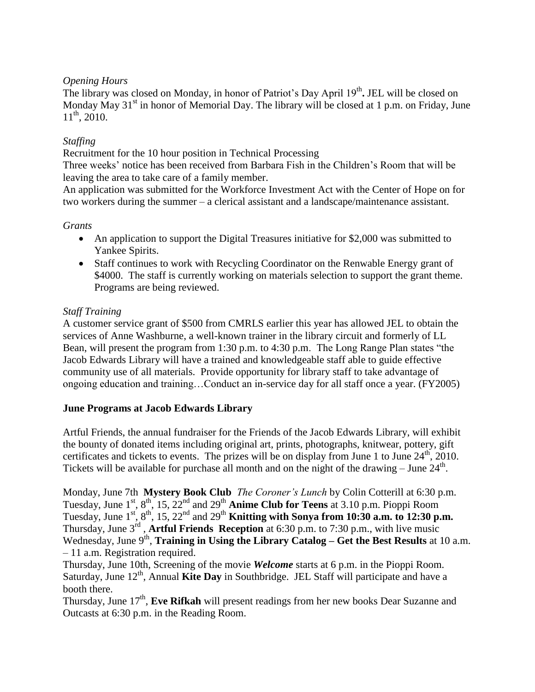## *Opening Hours*

The library was closed on Monday, in honor of Patriot's Day April 19<sup>th</sup>. JEL will be closed on Monday May  $31<sup>st</sup>$  in honor of Memorial Day. The library will be closed at 1 p.m. on Friday, June  $11^{th}$ , 2010.

# *Staffing*

Recruitment for the 10 hour position in Technical Processing

Three weeks' notice has been received from Barbara Fish in the Children's Room that will be leaving the area to take care of a family member.

An application was submitted for the Workforce Investment Act with the Center of Hope on for two workers during the summer – a clerical assistant and a landscape/maintenance assistant.

# *Grants*

- An application to support the Digital Treasures initiative for \$2,000 was submitted to Yankee Spirits.
- Staff continues to work with Recycling Coordinator on the Renwable Energy grant of \$4000. The staff is currently working on materials selection to support the grant theme. Programs are being reviewed.

# *Staff Training*

A customer service grant of \$500 from CMRLS earlier this year has allowed JEL to obtain the services of Anne Washburne, a well-known trainer in the library circuit and formerly of LL Bean, will present the program from 1:30 p.m. to 4:30 p.m. The Long Range Plan states "the Jacob Edwards Library will have a trained and knowledgeable staff able to guide effective community use of all materials. Provide opportunity for library staff to take advantage of ongoing education and training…Conduct an in-service day for all staff once a year. (FY2005)

## **June Programs at Jacob Edwards Library**

Artful Friends, the annual fundraiser for the Friends of the Jacob Edwards Library, will exhibit the bounty of donated items including original art, prints, photographs, knitwear, pottery, gift certificates and tickets to events. The prizes will be on display from June 1 to June 24<sup>th</sup>, 2010. Tickets will be available for purchase all month and on the night of the drawing – June  $24<sup>th</sup>$ .

Monday, June 7th **Mystery Book Club** *The Coroner's Lunch* by Colin Cotterill at 6:30 p.m. Tuesday, June 1st, 8th, 15, 22nd and 29th **Anime Club for Teens** at 3.10 p.m. Pioppi Room Tuesday, June  $1^{st}$ ,  $8^{th}$ , 15,  $22^{nd}$  and  $29^{th}$  **Knitting with Sonya from 10:30 a.m. to 12:30 p.m.** Thursday, June 3rd , **Artful Friends Reception** at 6:30 p.m. to 7:30 p.m., with live music Wednesday, June 9<sup>th</sup>, **Training in Using the Library Catalog – Get the Best Results** at 10 a.m. – 11 a.m. Registration required.

Thursday, June 10th, Screening of the movie *Welcome* starts at 6 p.m. in the Pioppi Room. Saturday, June 12<sup>th</sup>, Annual Kite Day in Southbridge. JEL Staff will participate and have a booth there.

Thursday, June 17<sup>th</sup>, Eve Rifkah will present readings from her new books Dear Suzanne and Outcasts at 6:30 p.m. in the Reading Room.